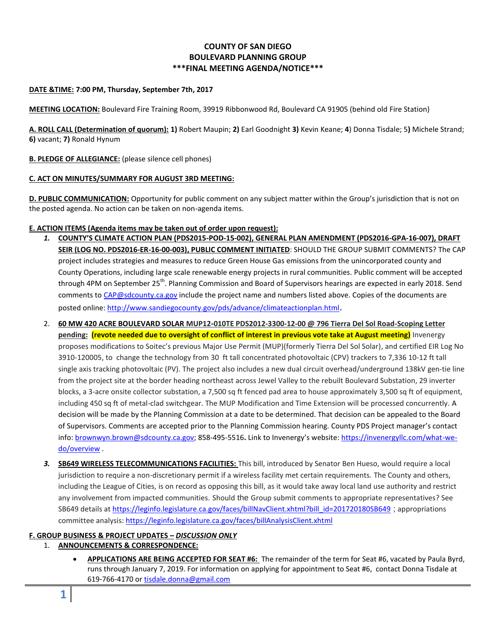# **COUNTY OF SAN DIEGO BOULEVARD PLANNING GROUP \*\*\*FINAL MEETING AGENDA/NOTICE\*\*\***

#### **DATE &TIME: 7:00 PM, Thursday, September 7th, 2017**

**MEETING LOCATION:** Boulevard Fire Training Room, 39919 Ribbonwood Rd, Boulevard CA 91905 (behind old Fire Station)

**A. ROLL CALL (Determination of quorum): 1)** Robert Maupin; **2)** Earl Goodnight **3)** Kevin Keane; **4**) Donna Tisdale; 5**)** Michele Strand; **6)** vacant; **7)** Ronald Hynum

### **B. PLEDGE OF ALLEGIANCE:** (please silence cell phones)

#### **C. ACT ON MINUTES/SUMMARY FOR AUGUST 3RD MEETING:**

**D. PUBLIC COMMUNICATION:** Opportunity for public comment on any subject matter within the Group's jurisdiction that is not on the posted agenda. No action can be taken on non-agenda items.

#### **E. ACTION ITEMS (Agenda items may be taken out of order upon request):**

- *1.* **COUNTY'S CLIMATE ACTION PLAN (PDS2015-POD-15-002), GENERAL PLAN AMENDMENT (PDS2016-GPA-16-007), DRAFT SEIR (LOG NO. PDS2016-ER-16-00-003), PUBLIC COMMENT INITIATED**: SHOULD THE GROUP SUBMIT COMMENTS? The CAP project includes strategies and measures to reduce Green House Gas emissions from the unincorporated county and County Operations, including large scale renewable energy projects in rural communities. Public comment will be accepted through 4PM on September 25<sup>th</sup>. Planning Commission and Board of Supervisors hearings are expected in early 2018. Send comments to [CAP@sdcounty.ca.gov](mailto:CAP@sdcounty.ca.gov) include the project name and numbers listed above. Copies of the documents are posted online: <http://www.sandiegocounty.gov/pds/advance/climateactionplan.html>.
- 2. **60 MW 420 ACRE BOULEVARD SOLAR MUP12-010TE PDS2012-3300-12-00 @ 796 Tierra Del Sol Road-Scoping Letter pending: (revote needed due to oversight of conflict of interest in previous vote take at August meeting)** Invenergy proposes modifications to Soitec's previous Major Use Permit (MUP)(formerly Tierra Del Sol Solar), and certified EIR Log No 3910-120005, to change the technology from 30 ft tall concentrated photovoltaic (CPV) trackers to 7,336 10-12 ft tall single axis tracking photovoltaic (PV). The project also includes a new dual circuit overhead/underground 138kV gen-tie line from the project site at the border heading northeast across Jewel Valley to the rebuilt Boulevard Substation, 29 inverter blocks, a 3-acre onsite collector substation, a 7,500 sq ft fenced pad area to house approximately 3,500 sq ft of equipment, including 450 sq ft of metal-clad switchgear. The MUP Modification and Time Extension will be processed concurrently. A decision will be made by the Planning Commission at a date to be determined. That decision can be appealed to the Board of Supervisors. Comments are accepted prior to the Planning Commission hearing. County PDS Project manager's contact info: [brownwyn.brown@sdcounty.ca.gov;](mailto:brownwyn.brown@sdcounty.ca.gov) 858-495-5516**.** Link to Invenergy's website: [https://invenergyllc.com/what-we](https://invenergyllc.com/what-we-do/overview)[do/overview](https://invenergyllc.com/what-we-do/overview) .
- *3.* **SB649 WIRELESS TELECOMMUNICATIONS FACILITIES:** This bill, introduced by Senator Ben Hueso, would require a local jurisdiction to require a non-discretionary permit if a wireless facility met certain requirements. The County and others, including the League of Cities, is on record as opposing this bill, as it would take away local land use authority and restrict any involvement from impacted communities. Should the Group submit comments to appropriate representatives? See SB649 details at [https://leginfo.legislature.ca.gov/faces/billNavClient.xhtml?bill\\_id=201720180SB649](https://leginfo.legislature.ca.gov/faces/billNavClient.xhtml?bill_id=201720180SB649) ; appropriations committee analysis[: https://leginfo.legislature.ca.gov/faces/billAnalysisClient.xhtml](https://leginfo.legislature.ca.gov/faces/billAnalysisClient.xhtml)

## **F. GROUP BUSINESS & PROJECT UPDATES –** *DISCUSSION ONLY*

- 1. **ANNOUNCEMENTS & CORRESPONDENCE:**
	- **APPLICATIONS ARE BEING ACCEPTED FOR SEAT #6:** The remainder of the term for Seat #6, vacated by Paula Byrd, runs through January 7, 2019. For information on applying for appointment to Seat #6, contact Donna Tisdale at 619-766-4170 or [tisdale.donna@gmail.com](mailto:tisdale.donna@gmail.com)